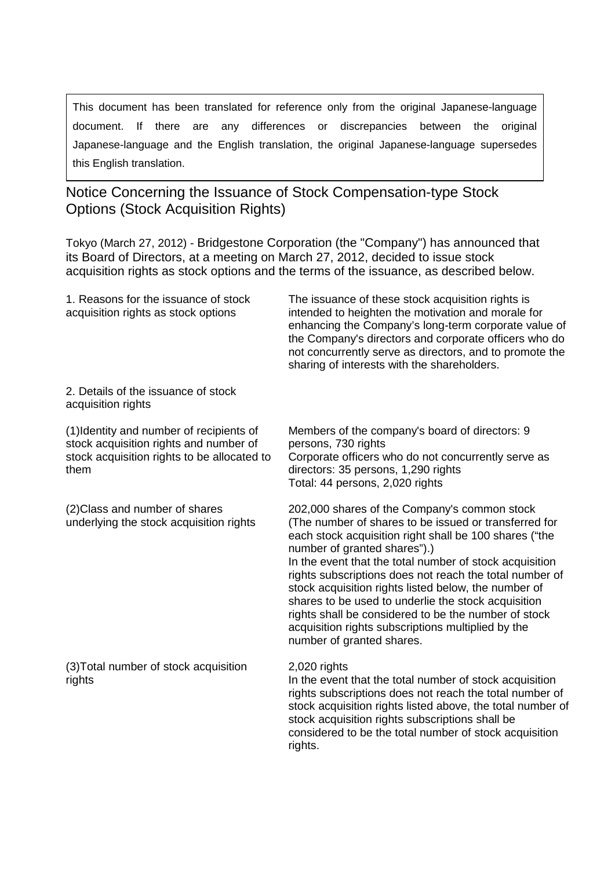This document has been translated for reference only from the original Japanese-language document. If there are any differences or discrepancies between the original Japanese-language and the English translation, the original Japanese-language supersedes this English translation.

## Notice Concerning the Issuance of Stock Compensation-type Stock Options (Stock Acquisition Rights)

Tokyo (March 27, 2012) - Bridgestone Corporation (the "Company") has announced that its Board of Directors, at a meeting on March 27, 2012, decided to issue stock acquisition rights as stock options and the terms of the issuance, as described below.

| 1. Reasons for the issuance of stock<br>acquisition rights as stock options                                                               | The issuance of these stock acquisition rights is<br>intended to heighten the motivation and morale for<br>enhancing the Company's long-term corporate value of<br>the Company's directors and corporate officers who do<br>not concurrently serve as directors, and to promote the<br>sharing of interests with the shareholders.                                                                                                                                                                                                                                              |
|-------------------------------------------------------------------------------------------------------------------------------------------|---------------------------------------------------------------------------------------------------------------------------------------------------------------------------------------------------------------------------------------------------------------------------------------------------------------------------------------------------------------------------------------------------------------------------------------------------------------------------------------------------------------------------------------------------------------------------------|
| 2. Details of the issuance of stock<br>acquisition rights                                                                                 |                                                                                                                                                                                                                                                                                                                                                                                                                                                                                                                                                                                 |
| (1) Identity and number of recipients of<br>stock acquisition rights and number of<br>stock acquisition rights to be allocated to<br>them | Members of the company's board of directors: 9<br>persons, 730 rights<br>Corporate officers who do not concurrently serve as<br>directors: 35 persons, 1,290 rights<br>Total: 44 persons, 2,020 rights                                                                                                                                                                                                                                                                                                                                                                          |
| (2) Class and number of shares<br>underlying the stock acquisition rights                                                                 | 202,000 shares of the Company's common stock<br>(The number of shares to be issued or transferred for<br>each stock acquisition right shall be 100 shares ("the<br>number of granted shares").)<br>In the event that the total number of stock acquisition<br>rights subscriptions does not reach the total number of<br>stock acquisition rights listed below, the number of<br>shares to be used to underlie the stock acquisition<br>rights shall be considered to be the number of stock<br>acquisition rights subscriptions multiplied by the<br>number of granted shares. |
| (3) Total number of stock acquisition<br>rights                                                                                           | 2,020 rights<br>In the event that the total number of stock acquisition<br>rights subscriptions does not reach the total number of<br>stock acquisition rights listed above, the total number of<br>stock acquisition rights subscriptions shall be<br>considered to be the total number of stock acquisition<br>rights.                                                                                                                                                                                                                                                        |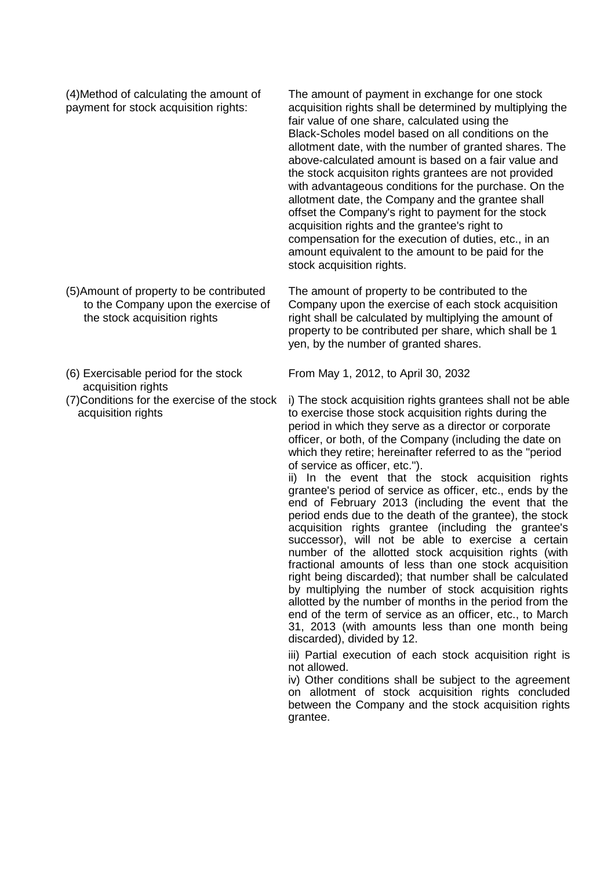(4)Method of calculating the amount of payment for stock acquisition rights:

The amount of payment in exchange for one stock acquisition rights shall be determined by multiplying the fair value of one share, calculated using the Black-Scholes model based on all conditions on the allotment date, with the number of granted shares. The above-calculated amount is based on a fair value and the stock acquisiton rights grantees are not provided with advantageous conditions for the purchase. On the allotment date, the Company and the grantee shall offset the Company's right to payment for the stock acquisition rights and the grantee's right to compensation for the execution of duties, etc., in an amount equivalent to the amount to be paid for the stock acquisition rights.

The amount of property to be contributed to the Company upon the exercise of each stock acquisition right shall be calculated by multiplying the amount of property to be contributed per share, which shall be 1 yen, by the number of granted shares.

(6) Exercisable period for the stock acquisition rights

the stock acquisition rights

(5)Amount of property to be contributed to the Company upon the exercise of

(7)Conditions for the exercise of the stock acquisition rights

From May 1, 2012, to April 30, 2032

i) The stock acquisition rights grantees shall not be able to exercise those stock acquisition rights during the period in which they serve as a director or corporate officer, or both, of the Company (including the date on which they retire; hereinafter referred to as the "period of service as officer, etc.").

ii) In the event that the stock acquisition rights grantee's period of service as officer, etc., ends by the end of February 2013 (including the event that the period ends due to the death of the grantee), the stock acquisition rights grantee (including the grantee's successor), will not be able to exercise a certain number of the allotted stock acquisition rights (with fractional amounts of less than one stock acquisition right being discarded); that number shall be calculated by multiplying the number of stock acquisition rights allotted by the number of months in the period from the end of the term of service as an officer, etc., to March 31, 2013 (with amounts less than one month being discarded), divided by 12.

iii) Partial execution of each stock acquisition right is not allowed.

iv) Other conditions shall be subject to the agreement on allotment of stock acquisition rights concluded between the Company and the stock acquisition rights grantee.